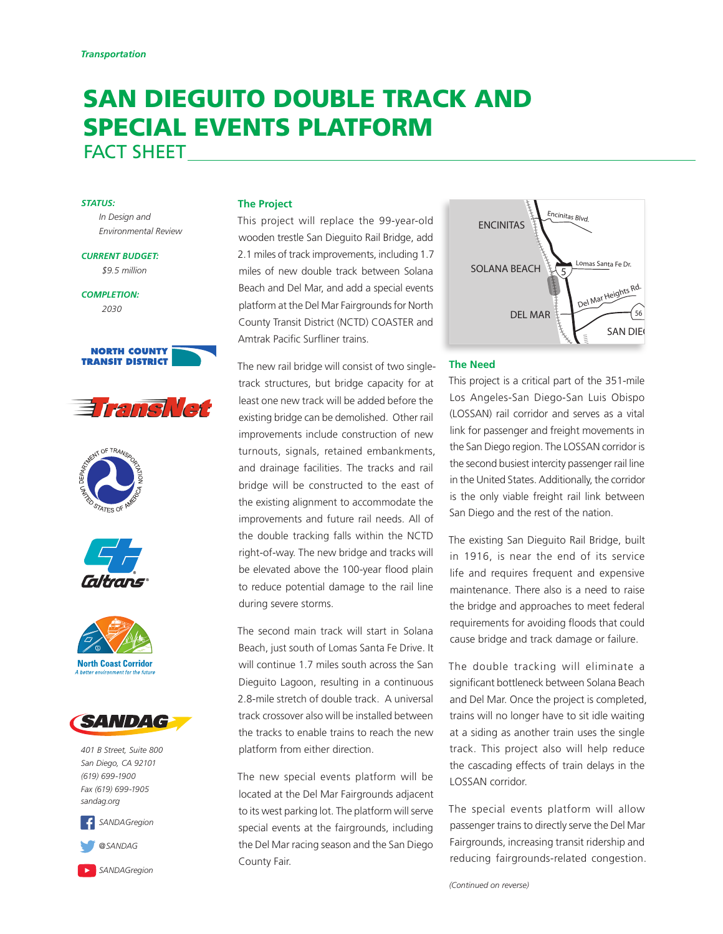# SAN DIEGUITO DOUBLE TRACK AND SPECIAL EVENTS PLATFORM FACT SHEET

#### *STATUS:*

*In Design and Environmental Review*

*CURRENT BUDGET: \$9.5 million*

*COMPLETION: 2030*













*401 B Street, Suite 800 San Diego, CA 92101 (619) 699-1900 Fax (619) 699-1905 sandag.org*





#### **The Project**

This project will replace the 99-year-old wooden trestle San Dieguito Rail Bridge, add 2.1 miles of track improvements, including 1.7 miles of new double track between Solana Beach and Del Mar, and add a special events platform at the Del Mar Fairgrounds for North County Transit District (NCTD) COASTER and Amtrak Pacific Surfliner trains.

The new rail bridge will consist of two singletrack structures, but bridge capacity for at least one new track will be added before the existing bridge can be demolished. Other rail improvements include construction of new turnouts, signals, retained embankments, and drainage facilities. The tracks and rail bridge will be constructed to the east of the existing alignment to accommodate the improvements and future rail needs. All of the double tracking falls within the NCTD right-of-way. The new bridge and tracks will be elevated above the 100-year flood plain to reduce potential damage to the rail line during severe storms.

The second main track will start in Solana Beach, just south of Lomas Santa Fe Drive. It will continue 1.7 miles south across the San Dieguito Lagoon, resulting in a continuous 2.8-mile stretch of double track. A universal track crossover also will be installed between the tracks to enable trains to reach the new platform from either direction.

The new special events platform will be located at the Del Mar Fairgrounds adjacent to its west parking lot. The platform will serve special events at the fairgrounds, including the Del Mar racing season and the San Diego County Fair.



### **The Need**

This project is a critical part of the 351-mile Los Angeles-San Diego-San Luis Obispo (LOSSAN) rail corridor and serves as a vital link for passenger and freight movements in the San Diego region. The LOSSAN corridor is the second busiest intercity passenger rail line in the United States. Additionally, the corridor is the only viable freight rail link between San Diego and the rest of the nation.

The existing San Dieguito Rail Bridge, built in 1916, is near the end of its service life and requires frequent and expensive maintenance. There also is a need to raise the bridge and approaches to meet federal requirements for avoiding floods that could cause bridge and track damage or failure.

The double tracking will eliminate a significant bottleneck between Solana Beach and Del Mar. Once the project is completed, trains will no longer have to sit idle waiting at a siding as another train uses the single track. This project also will help reduce the cascading effects of train delays in the LOSSAN corridor.

The special events platform will allow passenger trains to directly serve the Del Mar Fairgrounds, increasing transit ridership and reducing fairgrounds-related congestion.